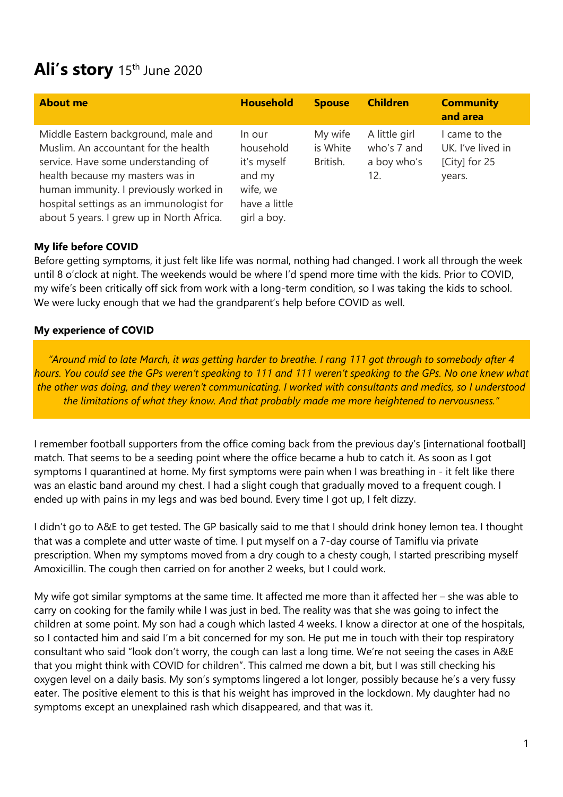# Ali's story 15<sup>th</sup> June 2020

| <b>About me</b>                                                                                                                                                                                                                                                                           | <b>Household</b>                                                                         | <b>Spouse</b>                   | <b>Children</b>                                    | <b>Community</b><br>and area                                  |
|-------------------------------------------------------------------------------------------------------------------------------------------------------------------------------------------------------------------------------------------------------------------------------------------|------------------------------------------------------------------------------------------|---------------------------------|----------------------------------------------------|---------------------------------------------------------------|
| Middle Eastern background, male and<br>Muslim. An accountant for the health<br>service. Have some understanding of<br>health because my masters was in<br>human immunity. I previously worked in<br>hospital settings as an immunologist for<br>about 5 years. I grew up in North Africa. | In our<br>household<br>it's myself<br>and my<br>wife, we<br>have a little<br>girl a boy. | My wife<br>is White<br>British. | A little girl<br>who's 7 and<br>a boy who's<br>12. | I came to the<br>UK. I've lived in<br>[City] for 25<br>years. |

## **My life before COVID**

Before getting symptoms, it just felt like life was normal, nothing had changed. I work all through the week until 8 o'clock at night. The weekends would be where I'd spend more time with the kids. Prior to COVID, my wife's been critically off sick from work with a long-term condition, so I was taking the kids to school. We were lucky enough that we had the grandparent's help before COVID as well.

### **My experience of COVID**

*"Around mid to late March, it was getting harder to breathe. I rang 111 got through to somebody after 4 hours. You could see the GPs weren't speaking to 111 and 111 weren't speaking to the GPs. No one knew what the other was doing, and they weren't communicating. I worked with consultants and medics, so I understood the limitations of what they know. And that probably made me more heightened to nervousness."*

I remember football supporters from the office coming back from the previous day's [international football] match. That seems to be a seeding point where the office became a hub to catch it. As soon as I got symptoms I quarantined at home. My first symptoms were pain when I was breathing in - it felt like there was an elastic band around my chest. I had a slight cough that gradually moved to a frequent cough. I ended up with pains in my legs and was bed bound. Every time I got up, I felt dizzy.

I didn't go to A&E to get tested. The GP basically said to me that I should drink honey lemon tea. I thought that was a complete and utter waste of time. I put myself on a 7-day course of Tamiflu via private prescription. When my symptoms moved from a dry cough to a chesty cough, I started prescribing myself Amoxicillin. The cough then carried on for another 2 weeks, but I could work.

My wife got similar symptoms at the same time. It affected me more than it affected her – she was able to carry on cooking for the family while I was just in bed. The reality was that she was going to infect the children at some point. My son had a cough which lasted 4 weeks. I know a director at one of the hospitals, so I contacted him and said I'm a bit concerned for my son. He put me in touch with their top respiratory consultant who said "look don't worry, the cough can last a long time. We're not seeing the cases in A&E that you might think with COVID for children". This calmed me down a bit, but I was still checking his oxygen level on a daily basis. My son's symptoms lingered a lot longer, possibly because he's a very fussy eater. The positive element to this is that his weight has improved in the lockdown. My daughter had no symptoms except an unexplained rash which disappeared, and that was it.